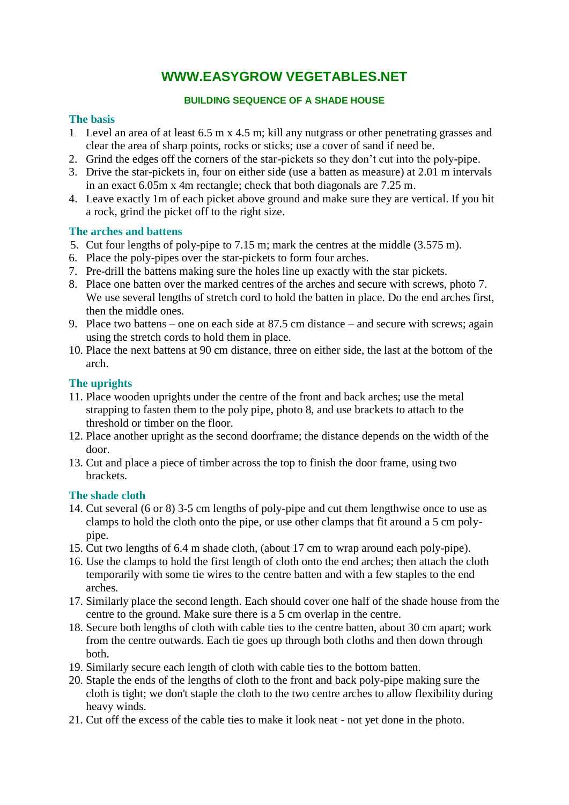# **WWW.EASYGROW VEGETABLES.NET**

## **BUILDING SEQUENCE OF A SHADE HOUSE**

## **The basis**

- 1. Level an area of at least 6.5 m x 4.5 m; kill any nutgrass or other penetrating grasses and clear the area of sharp points, rocks or sticks; use a cover of sand if need be.
- 2. Grind the edges off the corners of the star-pickets so they don't cut into the poly-pipe.
- 3. Drive the star-pickets in, four on either side (use a batten as measure) at 2.01 m intervals in an exact 6.05m x 4m rectangle; check that both diagonals are 7.25 m.
- 4. Leave exactly 1m of each picket above ground and make sure they are vertical. If you hit a rock, grind the picket off to the right size.

#### **The arches and battens**

- 5. Cut four lengths of poly-pipe to 7.15 m; mark the centres at the middle (3.575 m).
- 6. Place the poly-pipes over the star-pickets to form four arches.
- 7. Pre-drill the battens making sure the holes line up exactly with the star pickets.
- 8. Place one batten over the marked centres of the arches and secure with screws, photo 7. We use several lengths of stretch cord to hold the batten in place. Do the end arches first, then the middle ones.
- 9. Place two battens one on each side at 87.5 cm distance and secure with screws; again using the stretch cords to hold them in place.
- 10. Place the next battens at 90 cm distance, three on either side, the last at the bottom of the arch.

# **The uprights**

- 11. Place wooden uprights under the centre of the front and back arches; use the metal strapping to fasten them to the poly pipe, photo 8, and use brackets to attach to the threshold or timber on the floor.
- 12. Place another upright as the second doorframe; the distance depends on the width of the door.
- 13. Cut and place a piece of timber across the top to finish the door frame, using two brackets.

# **The shade cloth**

- 14. Cut several (6 or 8) 3-5 cm lengths of poly-pipe and cut them lengthwise once to use as clamps to hold the cloth onto the pipe, or use other clamps that fit around a 5 cm polypipe.
- 15. Cut two lengths of 6.4 m shade cloth, (about 17 cm to wrap around each poly-pipe).
- 16. Use the clamps to hold the first length of cloth onto the end arches; then attach the cloth temporarily with some tie wires to the centre batten and with a few staples to the end arches.
- 17. Similarly place the second length. Each should cover one half of the shade house from the centre to the ground. Make sure there is a 5 cm overlap in the centre.
- 18. Secure both lengths of cloth with cable ties to the centre batten, about 30 cm apart; work from the centre outwards. Each tie goes up through both cloths and then down through both.
- 19. Similarly secure each length of cloth with cable ties to the bottom batten.
- 20. Staple the ends of the lengths of cloth to the front and back poly-pipe making sure the cloth is tight; we don't staple the cloth to the two centre arches to allow flexibility during heavy winds.
- 21. Cut off the excess of the cable ties to make it look neat not yet done in the photo.